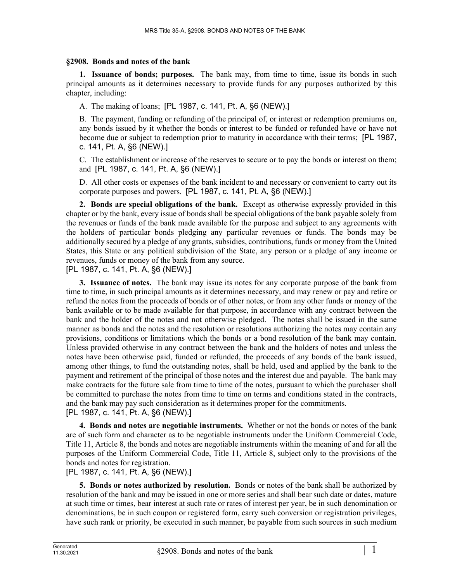## **§2908. Bonds and notes of the bank**

**1. Issuance of bonds; purposes.** The bank may, from time to time, issue its bonds in such principal amounts as it determines necessary to provide funds for any purposes authorized by this chapter, including:

A. The making of loans; [PL 1987, c. 141, Pt. A, §6 (NEW).]

B. The payment, funding or refunding of the principal of, or interest or redemption premiums on, any bonds issued by it whether the bonds or interest to be funded or refunded have or have not become due or subject to redemption prior to maturity in accordance with their terms; [PL 1987, c. 141, Pt. A, §6 (NEW).]

C. The establishment or increase of the reserves to secure or to pay the bonds or interest on them; and [PL 1987, c. 141, Pt. A, §6 (NEW).]

D. All other costs or expenses of the bank incident to and necessary or convenient to carry out its corporate purposes and powers. [PL 1987, c. 141, Pt. A, §6 (NEW).]

**2. Bonds are special obligations of the bank.** Except as otherwise expressly provided in this chapter or by the bank, every issue of bonds shall be special obligations of the bank payable solely from the revenues or funds of the bank made available for the purpose and subject to any agreements with the holders of particular bonds pledging any particular revenues or funds. The bonds may be additionally secured by a pledge of any grants, subsidies, contributions, funds or money from the United States, this State or any political subdivision of the State, any person or a pledge of any income or revenues, funds or money of the bank from any source.

[PL 1987, c. 141, Pt. A, §6 (NEW).]

**3. Issuance of notes.** The bank may issue its notes for any corporate purpose of the bank from time to time, in such principal amounts as it determines necessary, and may renew or pay and retire or refund the notes from the proceeds of bonds or of other notes, or from any other funds or money of the bank available or to be made available for that purpose, in accordance with any contract between the bank and the holder of the notes and not otherwise pledged. The notes shall be issued in the same manner as bonds and the notes and the resolution or resolutions authorizing the notes may contain any provisions, conditions or limitations which the bonds or a bond resolution of the bank may contain. Unless provided otherwise in any contract between the bank and the holders of notes and unless the notes have been otherwise paid, funded or refunded, the proceeds of any bonds of the bank issued, among other things, to fund the outstanding notes, shall be held, used and applied by the bank to the payment and retirement of the principal of those notes and the interest due and payable. The bank may make contracts for the future sale from time to time of the notes, pursuant to which the purchaser shall be committed to purchase the notes from time to time on terms and conditions stated in the contracts, and the bank may pay such consideration as it determines proper for the commitments. [PL 1987, c. 141, Pt. A, §6 (NEW).]

**4. Bonds and notes are negotiable instruments.** Whether or not the bonds or notes of the bank are of such form and character as to be negotiable instruments under the Uniform Commercial Code, Title 11, Article 8, the bonds and notes are negotiable instruments within the meaning of and for all the purposes of the Uniform Commercial Code, Title 11, Article 8, subject only to the provisions of the bonds and notes for registration.

[PL 1987, c. 141, Pt. A, §6 (NEW).]

**5. Bonds or notes authorized by resolution.** Bonds or notes of the bank shall be authorized by resolution of the bank and may be issued in one or more series and shall bear such date or dates, mature at such time or times, bear interest at such rate or rates of interest per year, be in such denomination or denominations, be in such coupon or registered form, carry such conversion or registration privileges, have such rank or priority, be executed in such manner, be payable from such sources in such medium